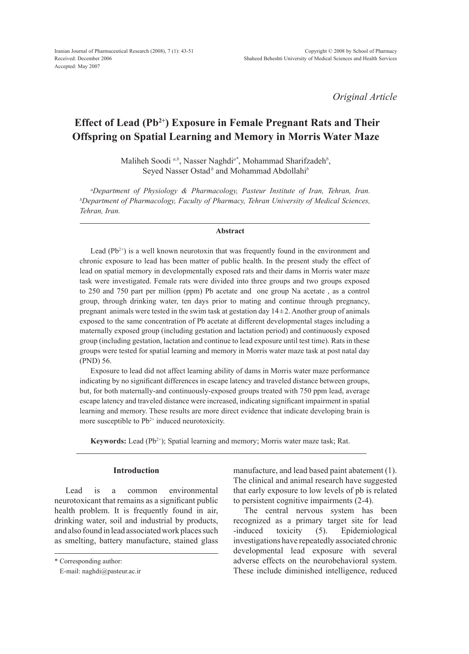*Original Article*

## **Effect of Lead (Pb2+) Exposure in Female Pregnant Rats and Their Offspring on Spatial Learning and Memory in Morris Water Maze**

Maliheh Soodi *a,b*, Nasser Naghdi*a\**, Mohammad Sharifzadeh*<sup>b</sup>* , Seyed Nasser Ostad<sup>*b*</sup> and Mohammad Abdollahi<sup>*b*</sup>

*a Department of Physiology & Pharmacology, Pasteur Institute of Iran, Tehran, Iran. b Department of Pharmacology, Faculty of Pharmacy, Tehran University of Medical Sciences, Tehran, Iran.*

#### **Abstract**

Lead  $(Pb^{2+})$  is a well known neurotoxin that was frequently found in the environment and chronic exposure to lead has been matter of public health. In the present study the effect of lead on spatial memory in developmentally exposed rats and their dams in Morris water maze task were investigated. Female rats were divided into three groups and two groups exposed to 250 and 750 part per million (ppm) Pb acetate and one group Na acetate , as a control group, through drinking water, ten days prior to mating and continue through pregnancy, pregnant animals were tested in the swim task at gestation day  $14\pm2$ . Another group of animals exposed to the same concentration of Pb acetate at different developmental stages including a maternally exposed group (including gestation and lactation period) and continuously exposed group (including gestation, lactation and continue to lead exposure until test time). Rats in these groups were tested for spatial learning and memory in Morris water maze task at post natal day (PND) 56.

Exposure to lead did not affect learning ability of dams in Morris water maze performance indicating by no significant differences in escape latency and traveled distance between groups, but, for both maternally-and continuously-exposed groups treated with 750 ppm lead, average escape latency and traveled distance were increased, indicating significant impairment in spatial learning and memory. These results are more direct evidence that indicate developing brain is more susceptible to  $Pb^{2+}$  induced neurotoxicity.

**Keywords:** Lead (Pb<sup>2+</sup>); Spatial learning and memory; Morris water maze task; Rat.

### **Introduction**

Lead is a common environmental neurotoxicant that remains as a significant public health problem. It is frequently found in air, drinking water, soil and industrial by products, and also found in lead associated work places such as smelting, battery manufacture, stained glass manufacture, and lead based paint abatement (1). The clinical and animal research have suggested that early exposure to low levels of pb is related to persistent cognitive impairments (2-4).

The central nervous system has been recognized as a primary target site for lead -induced toxicity (5). Epidemiological investigations have repeatedly associated chronic developmental lead exposure with several adverse effects on the neurobehavioral system. These include diminished intelligence, reduced

<sup>\*</sup> Corresponding author:

E-mail: naghdi@pasteur.ac.ir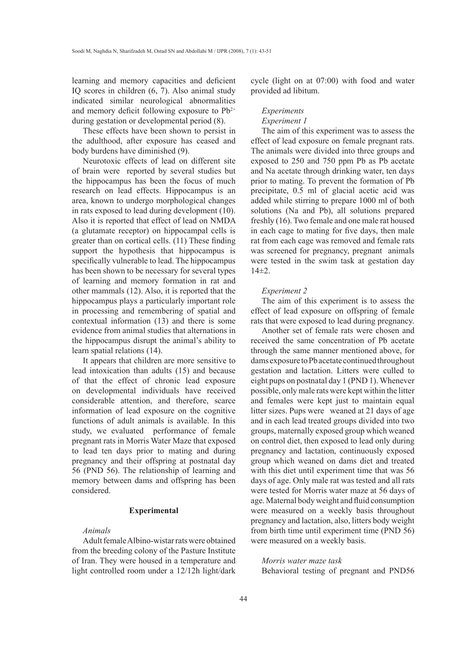learning and memory capacities and deficient IQ scores in children (6, 7). Also animal study indicated similar neurological abnormalities and memory deficit following exposure to  $Pb^{2+}$ during gestation or developmental period (8).

These effects have been shown to persist in the adulthood, after exposure has ceased and body burdens have diminished (9).

Neurotoxic effects of lead on different site of brain were reported by several studies but the hippocampus has been the focus of much research on lead effects. Hippocampus is an area, known to undergo morphological changes in rats exposed to lead during development (10). Also it is reported that effect of lead on NMDA (a glutamate receptor) on hippocampal cells is greater than on cortical cells. (11) These finding support the hypothesis that hippocampus is specifically vulnerable to lead. The hippocampus has been shown to be necessary for several types of learning and memory formation in rat and other mammals (12). Also, it is reported that the hippocampus plays a particularly important role in processing and remembering of spatial and contextual information (13) and there is some evidence from animal studies that alternations in the hippocampus disrupt the animal's ability to learn spatial relations (14).

It appears that children are more sensitive to lead intoxication than adults (15) and because of that the effect of chronic lead exposure on developmental individuals have received considerable attention, and therefore, scarce information of lead exposure on the cognitive functions of adult animals is available. In this study, we evaluated performance of female pregnant rats in Morris Water Maze that exposed to lead ten days prior to mating and during pregnancy and their offspring at postnatal day 56 (PND 56). The relationship of learning and memory between dams and offspring has been considered.

## **Experimental**

## *Animals*

Adult female Albino-wistar rats were obtained from the breeding colony of the Pasture Institute of Iran. They were housed in a temperature and light controlled room under a 12/12h light/dark cycle (light on at 07:00) with food and water provided ad libitum.

# *Experiments*

## *Experiment 1*

The aim of this experiment was to assess the effect of lead exposure on female pregnant rats. The animals were divided into three groups and exposed to 250 and 750 ppm Pb as Pb acetate and Na acetate through drinking water, ten days prior to mating. To prevent the formation of Pb precipitate, 0.5 ml of glacial acetic acid was added while stirring to prepare 1000 ml of both solutions (Na and Pb), all solutions prepared freshly (16). Two female and one male rat housed in each cage to mating for five days, then male rat from each cage was removed and female rats was screened for pregnancy, pregnant animals were tested in the swim task at gestation day  $14±2.$ 

### *Experiment 2*

The aim of this experiment is to assess the effect of lead exposure on offspring of female rats that were exposed to lead during pregnancy.

Another set of female rats were chosen and received the same concentration of Pb acetate through the same manner mentioned above, for dams exposure to Pb acetate continued throughout gestation and lactation. Litters were culled to eight pups on postnatal day 1 (PND 1). Whenever possible, only male rats were kept within the litter and females were kept just to maintain equal litter sizes. Pups were weaned at 21 days of age and in each lead treated groups divided into two groups, maternally exposed group which weaned on control diet, then exposed to lead only during pregnancy and lactation, continuously exposed group which weaned on dams diet and treated with this diet until experiment time that was 56 days of age. Only male rat was tested and all rats were tested for Morris water maze at 56 days of age. Maternal body weight and fluid consumption were measured on a weekly basis throughout pregnancy and lactation, also, litters body weight from birth time until experiment time (PND 56) were measured on a weekly basis.

*Morris water maze task* Behavioral testing of pregnant and PND56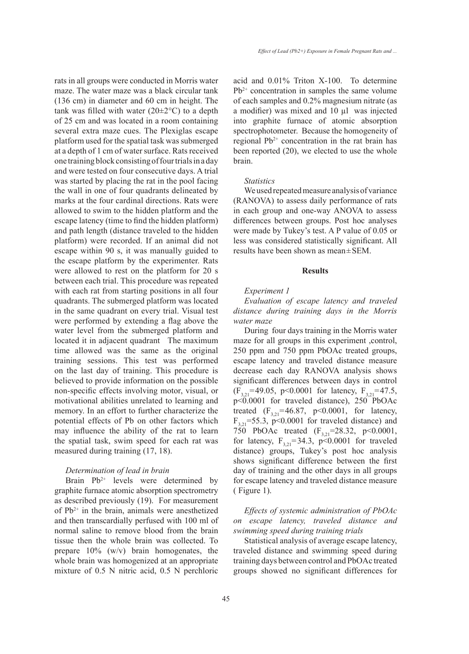*Effect of Lead (Pb2+) Exposure in Female Pregnant Rats and ...*

rats in all groups were conducted in Morris water maze. The water maze was a black circular tank (136 cm) in diameter and 60 cm in height. The tank was filled with water  $(20\pm2\degree C)$  to a depth of 25 cm and was located in a room containing several extra maze cues. The Plexiglas escape platform used for the spatial task was submerged at a depth of 1 cm of water surface. Rats received one training block consisting of four trials in a day and were tested on four consecutive days. A trial was started by placing the rat in the pool facing the wall in one of four quadrants delineated by marks at the four cardinal directions. Rats were allowed to swim to the hidden platform and the escape latency (time to find the hidden platform) and path length (distance traveled to the hidden platform) were recorded. If an animal did not escape within 90 s, it was manually guided to the escape platform by the experimenter. Rats were allowed to rest on the platform for 20 s between each trial. This procedure was repeated with each rat from starting positions in all four quadrants. The submerged platform was located in the same quadrant on every trial. Visual test were performed by extending a flag above the water level from the submerged platform and located it in adjacent quadrant The maximum time allowed was the same as the original training sessions. This test was performed on the last day of training. This procedure is believed to provide information on the possible non-specific effects involving motor, visual, or motivational abilities unrelated to learning and memory. In an effort to further characterize the potential effects of Pb on other factors which may influence the ability of the rat to learn the spatial task, swim speed for each rat was measured during training (17, 18).

## *Determination of lead in brain*

Brain  $Pb^{2+}$  levels were determined by graphite furnace atomic absorption spectrometry as described previously (19). For measurement of  $Pb^{2+}$  in the brain, animals were anesthetized and then transcardially perfused with 100 ml of normal saline to remove blood from the brain tissue then the whole brain was collected. To prepare 10% (w/v) brain homogenates, the whole brain was homogenized at an appropriate mixture of 0.5 N nitric acid, 0.5 N perchloric acid and 0.01% Triton X-100. To determine  $Pb^{2+}$  concentration in samples the same volume of each samples and 0.2% magnesium nitrate (as a modifier) was mixed and 10 µl was injected into graphite furnace of atomic absorption spectrophotometer. Because the homogeneity of regional  $Pb^{2+}$  concentration in the rat brain has been reported (20), we elected to use the whole brain.

#### *Statistics*

We used repeated measure analysis of variance (RANOVA) to assess daily performance of rats in each group and one-way ANOVA to assess differences between groups. Post hoc analyses were made by Tukey's test. A P value of 0.05 or less was considered statistically significant. All results have been shown as mean±SEM.

#### **Results**

#### *Experiment 1*

*Evaluation of escape latency and traveled distance during training days in the Morris water maze* 

During four days training in the Morris water maze for all groups in this experiment ,control, 250 ppm and 750 ppm PbOAc treated groups, escape latency and traveled distance measure decrease each day RANOVA analysis shows significant differences between days in control  $(F_{3,21}=49.05, p<0.0001$  for latency,  $F_{3,21}=47.5,$ p<0.0001 for traveled distance), 250 PbOAc treated  $(F_{3,21} = 46.87, p < 0.0001,$  for latency,  $F_{3,21}$ =55.3, p<0.0001 for traveled distance) and 750 PbOAc treated  $(F_{3,21} = 28.32, p \le 0.0001,$ for latency,  $F_{3,21} = 34.3$ ,  $p < 0.0001$  for traveled distance) groups, Tukey's post hoc analysis shows significant difference between the first day of training and the other days in all groups for escape latency and traveled distance measure ( Figure 1).

## *Effects of systemic administration of PbOAc on escape latency, traveled distance and swimming speed during training trials*

Statistical analysis of average escape latency, traveled distance and swimming speed during training days between control and PbOAc treated groups showed no significant differences for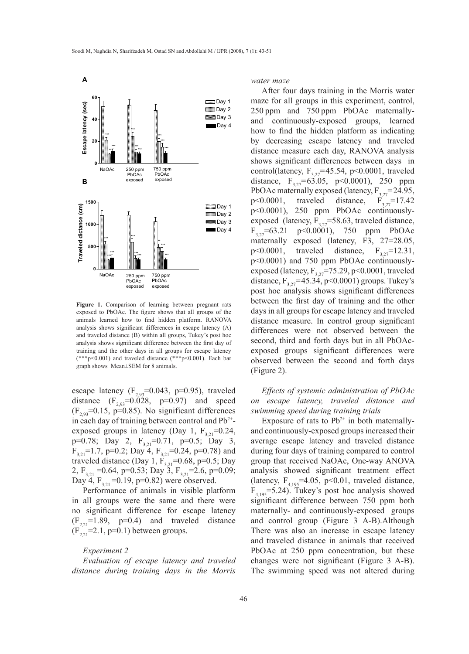

**Figure 1.** Comparison of learning between pregnant rats exposed to PbOAc. The figure shows that all groups of the animals learned how to find hidden platform. RANOVA analysis shows significant differences in escape latency (A) and traveled distance (B) within all groups, Tukey's post hoc analysis shows significant difference between the first day of training and the other days in all groups for escape latency (\*\*\*p<0.001) and traveled distance (\*\*\*p<0.001). Each bar graph shows Mean±SEM for 8 animals.

escape latency  $(F_{2.93} = 0.043, p=0.95)$ , traveled distance  $(F_{2,93}=0.028, p=0.97)$  and speed  $(F_{2,93}=0.15, p=0.85)$ . No significant differences in each day of training between control and Pb2+ exposed groups in latency (Day 1,  $F_{3,21}=0.24$ , p=0.78; Day 2,  $F_{3,21}$ =0.71, p=0.5; Day 3,  $F_{3,21}=1.7$ , p=0.2; Day 4,  $F_{3,21}=0.24$ , p=0.78) and traveled distance (Day 1,  $F_{3,21}$ =0.68, p=0.5; Day 2,  $F_{3,21} = 0.64$ , p=0.53; Day 3,  $F_{3,21} = 2.6$ , p=0.09; Day 4,  $F_{3,21}$ =0.19, p=0.82) were observed.

Performance of animals in visible platform in all groups were the same and there were no significant difference for escape latency  $(F_{2,21}=1.89, p=0.4)$  and traveled distance  $(F_{2,2}^{\text{max}}=2.1, p=0.1)$  between groups.

#### *Experiment 2*

*Evaluation of escape latency and traveled distance during training days in the Morris* 

*water maze* 

After four days training in the Morris water maze for all groups in this experiment, control, 250 ppm and 750 ppm PbOAc maternallyand continuously-exposed groups, learned how to find the hidden platform as indicating by decreasing escape latency and traveled distance measure each day, RANOVA analysis shows significant differences between days in control(latency,  $F_{3,27}=45.54$ , p<0.0001, traveled distance,  $F_{3,27} = 63.05$ , p<0.0001), 250 ppm PbOAc maternally exposed (latency,  $F_{3,27}$ =24.95, p<0.0001, traveled distance,  $F_{3,27}$ =17.42 p<0.0001), 250 ppm PbOAc continuouslyexposed (latency,  $F_{3,27}=58.63$ , traveled distance,  $F_{3,27}$ =63.21 p<0.0001), 750 ppm PbOAc maternally exposed (latency, F3, 27=28.05, p<0.0001, traveled distance,  $F_{3,27}$ =12.31, p<0.0001) and 750 ppm PbOAc continuouslyexposed (latency,  $F_{3,27}$ =75.29, p<0.0001, traveled distance,  $F_{3,27}$ =45.34, p<0.0001) groups. Tukey's post hoc analysis shows significant differences between the first day of training and the other days in all groups for escape latency and traveled distance measure. In control group significant differences were not observed between the second, third and forth days but in all PbOAcexposed groups significant differences were observed between the second and forth days (Figure 2).

*Effects of systemic administration of PbOAc on escape latency, traveled distance and swimming speed during training trials* 

Exposure of rats to  $Pb^{2+}$  in both maternallyand continuously-exposed groups increased their average escape latency and traveled distance during four days of training compared to control group that received NaOAc, One-way ANOVA analysis showed significant treatment effect (latency,  $F_{4,195}$ =4.05, p<0.01, traveled distance,  $F_{4,195}$ =5.24). Tukey's post hoc analysis showed significant difference between 750 ppm both maternally- and continuously-exposed groups and control group (Figure 3 A-B).Although There was also an increase in escape latency and traveled distance in animals that received PbOAc at 250 ppm concentration, but these changes were not significant (Figure 3 A-B). The swimming speed was not altered during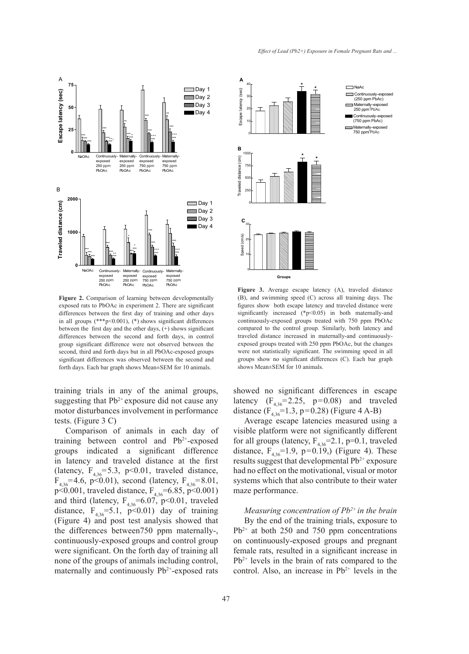

Figure 2. Comparison of learning between developmentally exposed rats to PbOAc in experiment 2. There are significant differences between the first day of training and other days in all groups  $(***p<0.001)$ ,  $(*)$  shows significant differences between the first day and the other days, (+) shows significant differences between the second and forth days, in control group significant difference were not observed between the second, third and forth days but in all PbOAc-exposed groups significant differences was observed between the second and forth days. Each bar graph shows Mean±SEM for 10 animals.

training trials in any of the animal groups, suggesting that  $Pb^{2+}$  exposure did not cause any motor disturbances involvement in performance tests. (Figure 3 C)

Comparison of animals in each day of training between control and  $Pb^{2+}$ -exposed groups indicated a significant difference in latency and traveled distance at the first (latency,  $F_{436}$ =5.3, p<0.01, traveled distance,  $F_{4,36}$ =4.6, p<0.01), second (latency,  $F_{4,36}$ =8.01, p<0.001, traveled distance,  $F_{4,36}$ =6.85, p<0.001) and third (latency,  $F_{4,36}$ =6.07, p<0.01, traveled distance,  $F_{4,36} = 5.1$ ,  $p < 0.01$ ) day of training (Figure 4) and post test analysis showed that the differences between750 ppm maternally-, continuously-exposed groups and control group were significant. On the forth day of training all none of the groups of animals including control, maternally and continuously  $Pb^{2+}$ -exposed rats



**Figure 3.** Average escape latency (A), traveled distance (B), and swimming speed (C) across all training days. The figures show both escape latency and traveled distance were significantly increased (\*p<0.05) in both maternally-and continuously-exposed groups treated with 750 ppm PbOAc compared to the control group. Similarly, both latency and traveled distance increased in maternally-and continuouslyexposed groups treated with 250 ppm PbOAc, but the changes were not statistically significant. The swimming speed in all groups show no significant differences (C). Each bar graph shows Mean±SEM for 10 animals.

showed no significant differences in escape latency  $(F_{4,36} = 2.25, p=0.08)$  and traveled distance  $(F_{4,36} = 1.3, p = 0.28)$  (Figure 4 A-B)

Average escape latencies measured using a visible platform were not significantly different for all groups (latency,  $F_{4,36}$ =2.1, p=0.1, traveled distance,  $F_{436}$ =1.9, p=0.19, (Figure 4). These results suggest that developmental Pb<sup>2+</sup> exposure had no effect on the motivational, visual or motor systems which that also contribute to their water maze performance.

*Measuring concentration of Pb2+ in the brain*  By the end of the training trials, exposure to  $Pb^{2+}$  at both 250 and 750 ppm concentrations on continuously-exposed groups and pregnant female rats, resulted in a significant increase in  $Pb^{2+}$  levels in the brain of rats compared to the control. Also, an increase in  $Pb^{2+}$  levels in the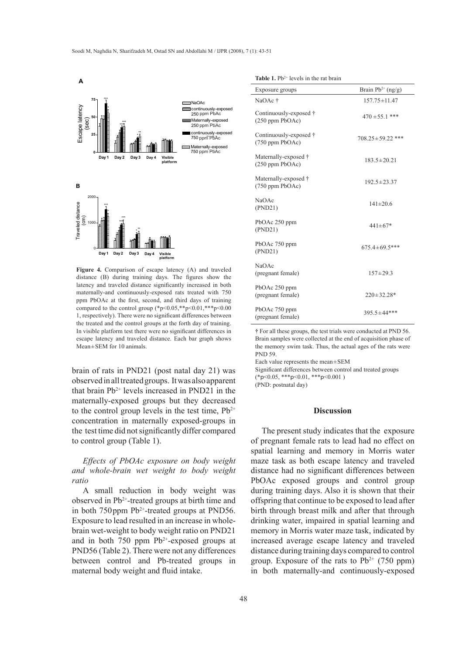

**Figure 4.** Comparison of escape latency (A) and traveled distance (B) during training days. The figures show the latency and traveled distance significantly increased in both maternally-and continuously-exposed rats treated with 750 ppm PbOAc at the first, second, and third days of training compared to the control group (\*p<0.05,\*\*p<0.01,\*\*\*p<0.00 1, respectively). There were no significant differences between the treated and the control groups at the forth day of training. In visible platform test there were no significant differences in escape latency and traveled distance. Each bar graph shows Mean±SEM for 10 animals.

brain of rats in PND21 (post natal day 21) was observed in all treated groups. It was also apparent that brain  $Pb^{2+}$  levels increased in PND21 in the maternally-exposed groups but they decreased to the control group levels in the test time,  $Pb^{2+}$ concentration in maternally exposed-groups in the test time did not significantly differ compared to control group (Table 1).

*Effects of PbOAc exposure on body weight and whole-brain wet weight to body weight ratio*

A small reduction in body weight was observed in Pb2+-treated groups at birth time and in both  $750$  ppm Pb<sup>2+</sup>-treated groups at PND56. Exposure to lead resulted in an increase in wholebrain wet-weight to body weight ratio on PND21 and in both 750 ppm  $Pb^{2+}$ -exposed groups at PND56 (Table 2). There were not any differences between control and Pb-treated groups in maternal body weight and fluid intake.

| <b>Table 1.</b> Pb <sup>2+</sup> levels in the rat brain |
|----------------------------------------------------------|
|                                                          |

| Exposure groups                             | Brain $Pb^{2+}$ (ng/g) |  |
|---------------------------------------------|------------------------|--|
| NaOAc <sup>+</sup>                          | $157.75 \pm 11.47$     |  |
| Continuously-exposed †<br>(250 ppm PbOAc)   | $470 \pm 55.1$ ***     |  |
| Continuously-exposed †<br>$(750$ ppm PbOAc) | $708.25 \pm 59.22$ *** |  |
| Maternally-exposed †<br>$(250$ ppm PbOAc)   | $183.5 \pm 20.21$      |  |
| Maternally-exposed †<br>$(750$ ppm PbOAc)   | $192.5 \pm 23.37$      |  |
| NaOAc<br>(PND21)                            | $141 \pm 20.6$         |  |
| PbOAc 250 ppm<br>(PND21)                    | $441 \pm 67*$          |  |
| PbOAc 750 ppm<br>(PND21)                    | $675.4 \pm 69.5$ ***   |  |
| <b>NaOAc</b><br>(pregnant female)           | $157 \pm 29.3$         |  |
| PbOAc 250 ppm<br>(pregnant female)          | $220 \pm 32.28*$       |  |
| PbOAc 750 ppm<br>(pregnant female)          | $395.5 \pm 44$ ***     |  |

**†** For all these groups, the test trials were conducted at PND 56. Brain samples were collected at the end of acquisition phase of the memory swim task. Thus, the actual ages of the rats were PND 59.

Each value represents the mean±SEM

Significant differences between control and treated groups  $(*p<0.05, **p<0.01, **p<0.001)$ (PND: postnatal day)

## **Discussion**

The present study indicates that the exposure of pregnant female rats to lead had no effect on spatial learning and memory in Morris water maze task as both escape latency and traveled distance had no significant differences between PbOAc exposed groups and control group during training days. Also it is shown that their offspring that continue to be exposed to lead after birth through breast milk and after that through drinking water, impaired in spatial learning and memory in Morris water maze task, indicated by increased average escape latency and traveled distance during training days compared to control group. Exposure of the rats to  $Pb^{2+}$  (750 ppm) in both maternally-and continuously-exposed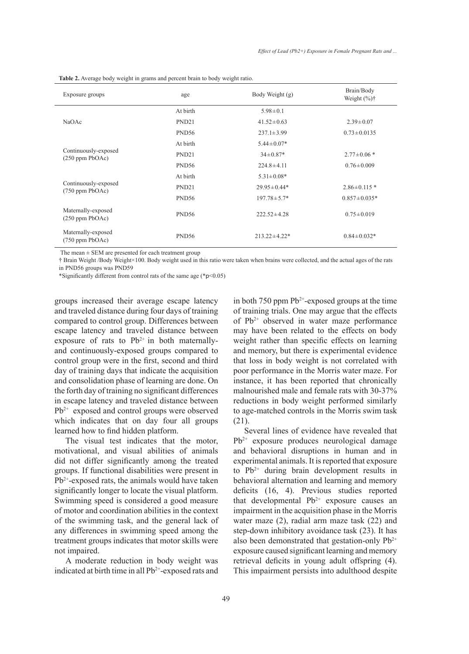| Exposure groups                                 | age               | Body Weight (g)    | Brain/Body<br>Weight $(\%)\dagger$ |
|-------------------------------------------------|-------------------|--------------------|------------------------------------|
| NaOAc                                           | At birth          | $5.98 \pm 0.1$     |                                    |
|                                                 | PND <sub>21</sub> | $41.52 \pm 0.63$   | $2.39 \pm 0.07$                    |
|                                                 | PND <sub>56</sub> | $237.1 \pm 3.99$   | $0.73 \pm 0.0135$                  |
| Continuously-exposed<br>$(250$ ppm PbOAc)       | At birth          | $5.44 \pm 0.07*$   |                                    |
|                                                 | PND <sub>21</sub> | $34 \pm 0.87*$     | $2.77 \pm 0.06*$                   |
|                                                 | PND <sub>56</sub> | $224.8 \pm 4.11$   | $0.76 \pm 0.009$                   |
| Continuously-exposed<br>$(750$ ppm PbOAc)       | At birth          | $5.31 \pm 0.08*$   |                                    |
|                                                 | PND <sub>21</sub> | $29.95 \pm 0.44*$  | $2.86 \pm 0.115$ *                 |
|                                                 | PND <sub>56</sub> | $197.78 \pm 5.7*$  | $0.857 \pm 0.035*$                 |
| Maternally-exposed<br>$(250 \text{ ppm PbOAc})$ | PND <sub>56</sub> | $222.52 \pm 4.28$  | $0.75 \pm 0.019$                   |
| Maternally-exposed<br>$(750$ ppm PbOAc)         | PND <sub>56</sub> | $213.22 \pm 4.22*$ | $0.84 \pm 0.032*$                  |

**Table 2.** Average body weight in grams and percent brain to body weight ratio.

The mean  $\pm$  SEM are presented for each treatment group

† Brain Weight /Body Weight×100. Body weight used in this ratio were taken when brains were collected, and the actual ages of the rats in PND56 groups was PND59

\*Significantly different from control rats of the same age (\*p<0.05)

groups increased their average escape latency and traveled distance during four days of training compared to control group. Differences between escape latency and traveled distance between exposure of rats to  $Pb^{2+}$  in both maternallyand continuously-exposed groups compared to control group were in the first, second and third day of training days that indicate the acquisition and consolidation phase of learning are done. On the forth day of training no significant differences in escape latency and traveled distance between Pb<sup>2+</sup> exposed and control groups were observed which indicates that on day four all groups learned how to find hidden platform.

The visual test indicates that the motor, motivational, and visual abilities of animals did not differ significantly among the treated groups. If functional disabilities were present in  $Pb^{2+}$ -exposed rats, the animals would have taken significantly longer to locate the visual platform. Swimming speed is considered a good measure of motor and coordination abilities in the context of the swimming task, and the general lack of any differences in swimming speed among the treatment groups indicates that motor skills were not impaired.

A moderate reduction in body weight was indicated at birth time in all Pb<sup>2+</sup>-exposed rats and in both 750 ppm  $Pb^{2+}$ -exposed groups at the time of training trials. One may argue that the effects of  $Pb^{2+}$  observed in water maze performance may have been related to the effects on body weight rather than specific effects on learning and memory, but there is experimental evidence that loss in body weight is not correlated with poor performance in the Morris water maze. For instance, it has been reported that chronically malnourished male and female rats with 30-37% reductions in body weight performed similarly to age-matched controls in the Morris swim task (21).

Several lines of evidence have revealed that  $Pb^{2+}$  exposure produces neurological damage and behavioral disruptions in human and in experimental animals. It is reported that exposure to  $Pb^{2+}$  during brain development results in behavioral alternation and learning and memory deficits (16, 4). Previous studies reported that developmental  $Pb^{2+}$  exposure causes an impairment in the acquisition phase in the Morris water maze (2), radial arm maze task (22) and step-down inhibitory avoidance task (23). It has also been demonstrated that gestation-only  $Pb^{2+}$ exposure caused significant learning and memory retrieval deficits in young adult offspring (4). This impairment persists into adulthood despite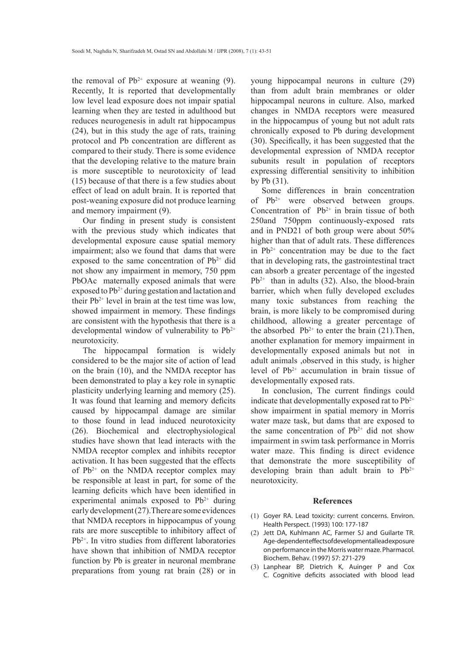the removal of  $Pb^{2+}$  exposure at weaning (9). Recently, It is reported that developmentally low level lead exposure does not impair spatial learning when they are tested in adulthood but reduces neurogenesis in adult rat hippocampus (24), but in this study the age of rats, training protocol and Pb concentration are different as compared to their study. There is some evidence that the developing relative to the mature brain is more susceptible to neurotoxicity of lead (15) because of that there is a few studies about effect of lead on adult brain. It is reported that post-weaning exposure did not produce learning and memory impairment (9).

Our finding in present study is consistent with the previous study which indicates that developmental exposure cause spatial memory impairment; also we found that dams that were exposed to the same concentration of  $Pb^{2+}$  did not show any impairment in memory, 750 ppm PbOAc maternally exposed animals that were exposed to  $Pb^{2+}$  during gestation and lactation and their  $Pb^{2+}$  level in brain at the test time was low, showed impairment in memory. These findings are consistent with the hypothesis that there is a developmental window of vulnerability to  $Pb^{2+}$ neurotoxicity.

The hippocampal formation is widely considered to be the major site of action of lead on the brain (10), and the NMDA receptor has been demonstrated to play a key role in synaptic plasticity underlying learning and memory (25). It was found that learning and memory deficits caused by hippocampal damage are similar to those found in lead induced neurotoxicity (26). Biochemical and electrophysiological studies have shown that lead interacts with the NMDA receptor complex and inhibits receptor activation. It has been suggested that the effects of  $Pb^{2+}$  on the NMDA receptor complex may be responsible at least in part, for some of the learning deficits which have been identified in experimental animals exposed to  $Pb^{2+}$  during early development (27).There are some evidences that NMDA receptors in hippocampus of young rats are more susceptible to inhibitory affect of Pb2+. In vitro studies from different laboratories have shown that inhibition of NMDA receptor function by Pb is greater in neuronal membrane preparations from young rat brain (28) or in

young hippocampal neurons in culture (29) than from adult brain membranes or older hippocampal neurons in culture. Also, marked changes in NMDA receptors were measured in the hippocampus of young but not adult rats chronically exposed to Pb during development (30). Specifically, it has been suggested that the developmental expression of NMDA receptor subunits result in population of receptors expressing differential sensitivity to inhibition by Pb (31).

Some differences in brain concentration of  $Pb^{2+}$  were observed between groups. Concentration of  $Pb^{2+}$  in brain tissue of both 250and 750ppm continuously-exposed rats and in PND21 of both group were about 50% higher than that of adult rats. These differences in  $Pb^{2+}$  concentration may be due to the fact that in developing rats, the gastrointestinal tract can absorb a greater percentage of the ingested  $Pb^{2+}$  than in adults (32). Also, the blood-brain barrier, which when fully developed excludes many toxic substances from reaching the brain, is more likely to be compromised during childhood, allowing a greater percentage of the absorbed  $Pb^{2+}$  to enter the brain (21). Then, another explanation for memory impairment in developmentally exposed animals but not in adult animals ,observed in this study, is higher level of Pb2+ accumulation in brain tissue of developmentally exposed rats.

In conclusion, The current findings could indicate that developmentally exposed rat to  $Pb^{2+}$ show impairment in spatial memory in Morris water maze task, but dams that are exposed to the same concentration of  $Pb^{2+}$  did not show impairment in swim task performance in Morris water maze. This finding is direct evidence that demonstrate the more susceptibility of developing brain than adult brain to  $Pb^{2+}$ neurotoxicity.

#### **References**

- (1) Goyer RA. Lead toxicity: current concerns. Environ. Health Perspect. (1993) 100: 177-187
- (2) Jett DA, Kuhlmann AC, Farmer SJ and Guilarte TR. Age-dependent effects of developmental lead exposure on performance in the Morris water maze. Pharmacol. Biochem. Behav. (1997) 57: 271-279
- Lanphear BP, Dietrich K, Auinger P and Cox (3)C. Cognitive deficits associated with blood lead